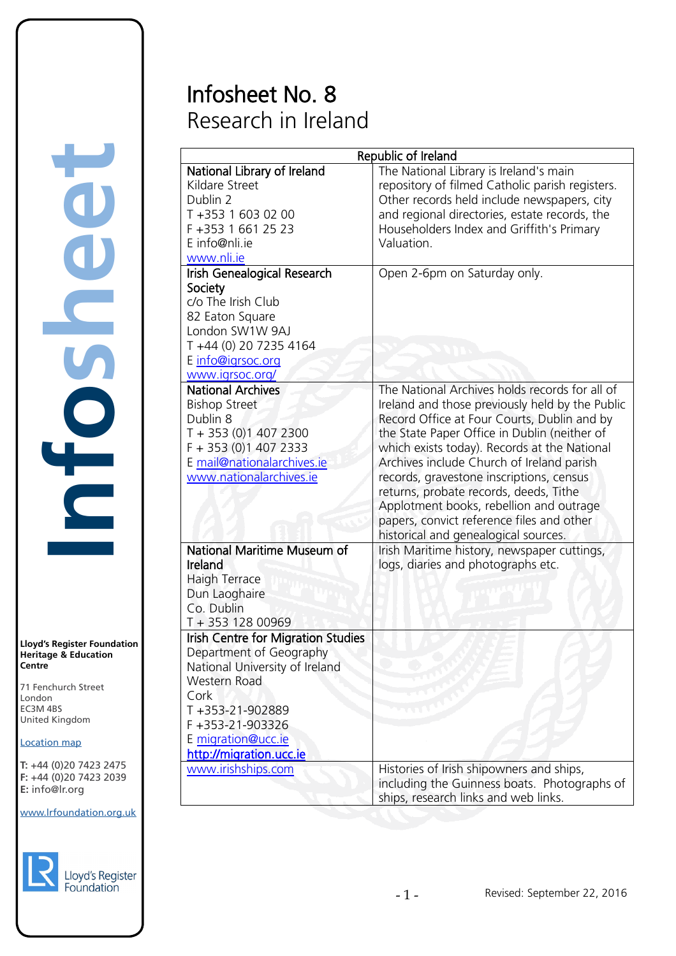# Infosheet No. 8 Research in Ireland

| Republic of Ireland                                                                                                                                                                                                   |                                                                                                                                                                                                                                                                                                                                                                                                                                                                                                                     |
|-----------------------------------------------------------------------------------------------------------------------------------------------------------------------------------------------------------------------|---------------------------------------------------------------------------------------------------------------------------------------------------------------------------------------------------------------------------------------------------------------------------------------------------------------------------------------------------------------------------------------------------------------------------------------------------------------------------------------------------------------------|
| National Library of Ireland<br>Kildare Street<br>Dublin 2<br>T+353 1603 02 00<br>F +353 1 661 25 23<br>E info@nli.ie<br>www.nli.ie                                                                                    | The National Library is Ireland's main<br>repository of filmed Catholic parish registers.<br>Other records held include newspapers, city<br>and regional directories, estate records, the<br>Householders Index and Griffith's Primary<br>Valuation.                                                                                                                                                                                                                                                                |
| <b>Irish Genealogical Research</b><br>Society<br>c/o The Irish Club<br>82 Eaton Square<br>London SW1W 9AJ<br>T +44 (0) 20 7235 4164<br>E info@igrsoc.org<br>www.igrsoc.org/                                           | Open 2-6pm on Saturday only.                                                                                                                                                                                                                                                                                                                                                                                                                                                                                        |
| <b>National Archives</b><br><b>Bishop Street</b><br>Dublin 8<br>T + 353 (0) 1 407 2300<br>$F + 353(0)14072333$<br>E mail@nationalarchives.ie<br>www.nationalarchives.ie                                               | The National Archives holds records for all of<br>Ireland and those previously held by the Public<br>Record Office at Four Courts, Dublin and by<br>the State Paper Office in Dublin (neither of<br>which exists today). Records at the National<br>Archives include Church of Ireland parish<br>records, gravestone inscriptions, census<br>returns, probate records, deeds, Tithe<br>Applotment books, rebellion and outrage<br>papers, convict reference files and other<br>historical and genealogical sources. |
| National Maritime Museum of<br>Ireland<br>Haigh Terrace<br>Dun Laoghaire<br>Co. Dublin<br>T + 353 128 00969                                                                                                           | Irish Maritime history, newspaper cuttings,<br>logs, diaries and photographs etc.                                                                                                                                                                                                                                                                                                                                                                                                                                   |
| <b>Irish Centre for Migration Studies</b><br>Department of Geography<br>National University of Ireland<br>Western Road<br>Cork<br>T+353-21-902889<br>F+353-21-903326<br>E migration@ucc.ie<br>http://migration.ucc.ie |                                                                                                                                                                                                                                                                                                                                                                                                                                                                                                                     |
| www.irishships.com                                                                                                                                                                                                    | Histories of Irish shipowners and ships,<br>including the Guinness boats. Photographs of<br>ships, research links and web links.                                                                                                                                                                                                                                                                                                                                                                                    |

**Lloyd's Register Foundation Heritage & Education Centre** rd's Register Foundat<br>
itage & Education<br>
tre<br>
Eenchurch Street<br>
don<br>
M 4BS<br>
ted Kingdom<br>
ation map<br>
44 (0)20 7423 2475<br>
44 (0)20 7423 2039<br>
nfo@lr.org

**Infosheet**

COLO

**UOD** 

71 Fenchurch Street London Information Services EC3M 4BS United Kingdom EC3M 4BS

### Location map

T: +44 (0)20 7423 2475 **F:** +44 (0)20 7423 2039 Fax: +44 (0)20 7423 2039 **E:** info@lr.org  $F \rightarrow (0/20, 1 + 2)$ 

#### www.lrfoundation.org.uk



Lloyd's Register<br>Foundation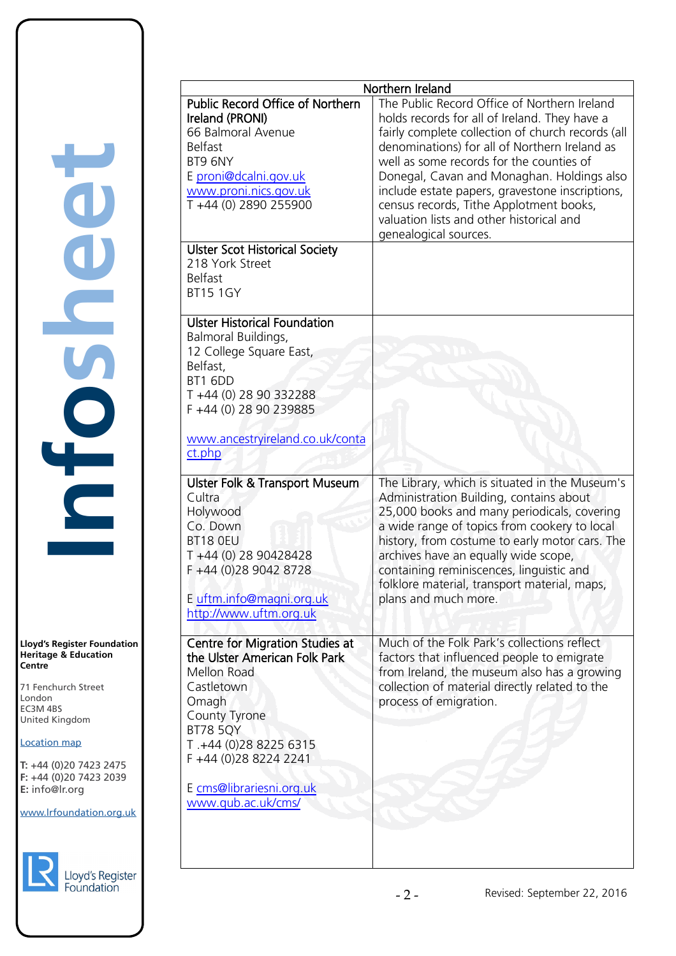**Infosheet** TOSheet rd's Register Foundat<br>
itage & Education<br>
tre<br>
Eenchurch Street<br>
don<br>
M 4BS<br>
ted Kingdom<br>
ation map<br>
44 (0)20 7423 2475<br>
44 (0)20 7423 2039<br>
nfo@lr.org

**Lloyd's Register Foundation Heritage & Education Centre**

71 Fenchurch Street London EC3M 4BS United Kingdom Information Services EC3M 4BS

## Location map

T: +44 (0)20 7423 2475 **F:** +44 (0)20 7423 2039 Fax: +44 (0)20 7423 2039 **E:** info@lr.org  $F \rightarrow (0/20, 1 + 2)$ 

www.lrfoundation.org.uk



|           | oyd's Registe |
|-----------|---------------|
| bundation |               |
|           |               |

| Northern Ireland                                                                                                                                                                                                                                      |                                                                                                                                                                                                                                                                                                                                                                                                                                                                  |  |
|-------------------------------------------------------------------------------------------------------------------------------------------------------------------------------------------------------------------------------------------------------|------------------------------------------------------------------------------------------------------------------------------------------------------------------------------------------------------------------------------------------------------------------------------------------------------------------------------------------------------------------------------------------------------------------------------------------------------------------|--|
| Public Record Office of Northern<br>Ireland (PRONI)<br>66 Balmoral Avenue<br><b>Belfast</b><br>BT9 6NY<br>E proni@dcalni.gov.uk<br>www.proni.nics.gov.uk<br>$\overline{T} + 44$ (0) 2890 255900                                                       | The Public Record Office of Northern Ireland<br>holds records for all of Ireland. They have a<br>fairly complete collection of church records (all<br>denominations) for all of Northern Ireland as<br>well as some records for the counties of<br>Donegal, Cavan and Monaghan. Holdings also<br>include estate papers, gravestone inscriptions,<br>census records, Tithe Applotment books,<br>valuation lists and other historical and<br>genealogical sources. |  |
| <b>Ulster Scot Historical Society</b><br>218 York Street<br><b>Belfast</b><br><b>BT15 1GY</b>                                                                                                                                                         |                                                                                                                                                                                                                                                                                                                                                                                                                                                                  |  |
| <b>Ulster Historical Foundation</b><br>Balmoral Buildings,<br>12 College Square East,<br>Belfast,<br>BT1 6DD<br>T +44 (0) 28 90 332288<br>F +44 (0) 28 90 239885<br>www.ancestryireland.co.uk/conta<br>ct.php                                         |                                                                                                                                                                                                                                                                                                                                                                                                                                                                  |  |
| <b>Ulster Folk &amp; Transport Museum</b><br>Cultra<br>Holywood<br>Co. Down<br>BT18 OEU<br>T +44 (0) 28 90428428<br>F +44 (0)28 9042 8728<br>E uftm.info@magni.org.uk<br>http://www.uftm.org.uk                                                       | The Library, which is situated in the Museum's<br>Administration Building, contains about<br>25,000 books and many periodicals, covering<br>a wide range of topics from cookery to local<br>history, from costume to early motor cars. The<br>archives have an equally wide scope,<br>containing reminiscences, linguistic and<br>folklore material, transport material, maps,<br>plans and much more.                                                           |  |
| Centre for Migration Studies at<br>the Ulster American Folk Park<br>Mellon Road<br>Castletown<br>Omagh<br><b>County Tyrone</b><br><b>BT78 5QY</b><br>T.+44 (0)28 8225 6315<br>F +44 (0)28 8224 2241<br>E cms@librariesni.org.uk<br>www.qub.ac.uk/cms/ | Much of the Folk Park's collections reflect<br>factors that influenced people to emigrate<br>from Ireland, the museum also has a growing<br>collection of material directly related to the<br>process of emigration.                                                                                                                                                                                                                                             |  |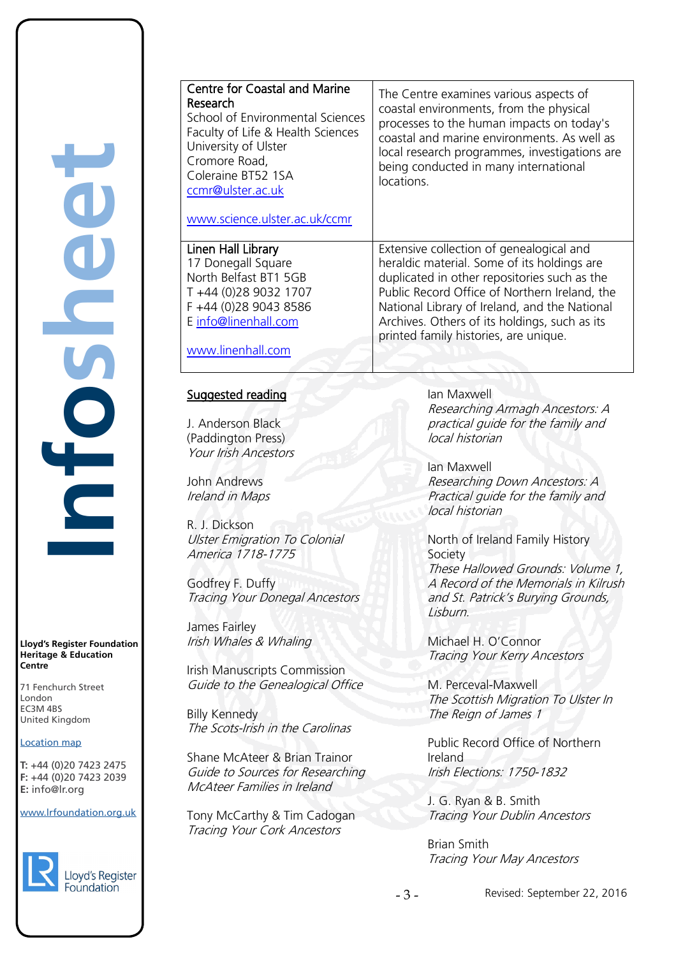**Lloyd's Register Foundation Heritage & Education Centre** rd's Register Foundat<br>
itage & Education<br>
tre<br>
Eenchurch Street<br>
don<br>
M 4BS<br>
ted Kingdom<br>
ation map<br>
44 (0)20 7423 2475<br>
44 (0)20 7423 2039<br>
nfo@lr.org

**Infosheet**

io

71 Fenchurch Street London EC3M 4BS United Kingdom Information Services

### Location map

T: +44 (0)20 7423 2475 **F:** +44 (0)20 7423 2039 Fax: +44 (0)20 7423 2039 **E:** info@lr.org  $F \rightarrow (0/20, 1 + 2)$ 

EC3M 4BS

#### www.lrfoundation.org.uk



Lloyd's Register<br>Foundation

| <b>Centre for Coastal and Marine</b><br>Research<br><b>School of Environmental Sciences</b><br>Faculty of Life & Health Sciences<br>University of Ulster<br>Cromore Road,<br>Coleraine BT52 1SA<br>ccmr@ulster.ac.uk<br>www.science.ulster.ac.uk/ccmr                                                  | The Centre examines various aspects of<br>coastal environments, from the physical<br>processes to the human impacts on today's<br>coastal and marine environments. As well as<br>local research programmes, investigations are<br>being conducted in many international<br>locations.                                                                                                                                                                |
|--------------------------------------------------------------------------------------------------------------------------------------------------------------------------------------------------------------------------------------------------------------------------------------------------------|------------------------------------------------------------------------------------------------------------------------------------------------------------------------------------------------------------------------------------------------------------------------------------------------------------------------------------------------------------------------------------------------------------------------------------------------------|
| Linen Hall Library<br>17 Donegall Square<br>North Belfast BT1 5GB<br>T +44 (0)28 9032 1707<br>F +44 (0)28 9043 8586<br>E info@linenhall.com<br>www.linenhall.com                                                                                                                                       | Extensive collection of genealogical and<br>heraldic material. Some of its holdings are<br>duplicated in other repositories such as the<br>Public Record Office of Northern Ireland, the<br>National Library of Ireland, and the National<br>Archives. Others of its holdings, such as its<br>printed family histories, are unique.                                                                                                                  |
| Suggested reading<br>J. Anderson Black<br>(Paddington Press)<br>Your Irish Ancestors<br>John Andrews<br>Ireland in Maps<br>R. J. Dickson<br><b>Ulster Emigration To Colonial</b><br>America 1718-1775<br>Godfrey F. Duffy<br>Tracing Your Donegal Ancestors<br>James Fairley<br>Irish Whales & Whaling | lan Maxwell<br>Researching Armagh Ancestors: A<br>practical quide for the family and<br>local historian<br>lan Maxwell<br>Researching Down Ancestors: A<br>Practical quide for the family and<br>local historian<br>North of Ireland Family History<br>Society<br>These Hallowed Grounds: Volume 1,<br>A Record of the Memorials in Kilrush<br>and St. Patrick's Burying Grounds,<br>Lisburn.<br>Michael H. O'Connor<br>Tracing Your Kerry Ancestors |
| Irish Manuscripts Commission<br>Guide to the Genealogical Office<br><b>Billy Kennedy</b><br>The Scots-Irish in the Carolinas<br>Shane McAteer & Brian Trainor<br>Guide to Sources for Researching<br>McAteer Families in Ireland<br>Tony McCarthy & Tim Cadogan                                        | M. Perceval-Maxwell<br>The Scottish Migration To Ulster In<br>The Reign of James 1<br>Public Record Office of Northern<br>Ireland<br>Irish Elections: 1750-1832<br>J. G. Ryan & B. Smith<br>Tracing Your Dublin Ancestors                                                                                                                                                                                                                            |

Brian Smith Tracing Your May Ancestors

Tracing Your Cork Ancestors

- 3 - Revised: September 22, 2016